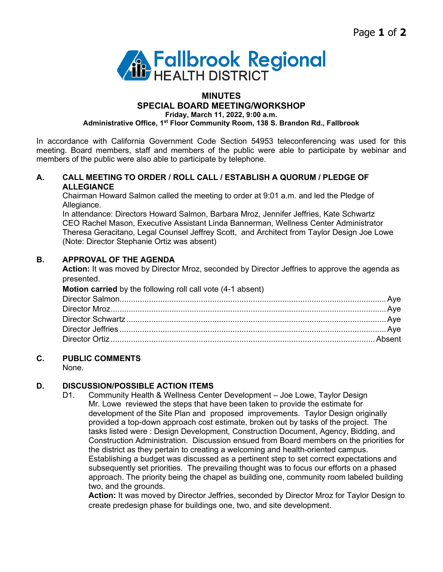

# **MINUTES SPECIAL BOARD MEETING/WORKSHOP Friday, March 11, 2022, 9:00 a.m.**

**Administrative Office, 1st Floor Community Room, 138 S. Brandon Rd., Fallbrook**

In accordance with California Government Code Section 54953 teleconferencing was used for this meeting. Board members, staff and members of the public were able to participate by webinar and members of the public were also able to participate by telephone.

### **A. CALL MEETING TO ORDER / ROLL CALL / ESTABLISH A QUORUM / PLEDGE OF ALLEGIANCE**

Chairman Howard Salmon called the meeting to order at 9:01 a.m. and led the Pledge of Allegiance.

In attendance: Directors Howard Salmon, Barbara Mroz, Jennifer Jeffries, Kate Schwartz CEO Rachel Mason, Executive Assistant Linda Bannerman, Wellness Center Administrator Theresa Geracitano, Legal Counsel Jeffrey Scott, and Architect from Taylor Design Joe Lowe (Note: Director Stephanie Ortiz was absent)

## **B. APPROVAL OF THE AGENDA**

**Action:** It was moved by Director Mroz, seconded by Director Jeffries to approve the agenda as presented.

**Motion carried** by the following roll call vote (4-1 absent)

### **C. PUBLIC COMMENTS**

None.

### **D. DISCUSSION/POSSIBLE ACTION ITEMS**

D1. Community Health & Wellness Center Development – Joe Lowe, Taylor Design Mr. Lowe reviewed the steps that have been taken to provide the estimate for development of the Site Plan and proposed improvements. Taylor Design originally provided a top-down approach cost estimate, broken out by tasks of the project. The tasks listed were : Design Development, Construction Document, Agency, Bidding, and Construction Administration. Discussion ensued from Board members on the priorities for the district as they pertain to creating a welcoming and health-oriented campus. Establishing a budget was discussed as a pertinent step to set correct expectations and subsequently set priorities. The prevailing thought was to focus our efforts on a phased approach. The priority being the chapel as building one, community room labeled building two, and the grounds.

**Action:** It was moved by Director Jeffries, seconded by Director Mroz for Taylor Design to create predesign phase for buildings one, two, and site development.